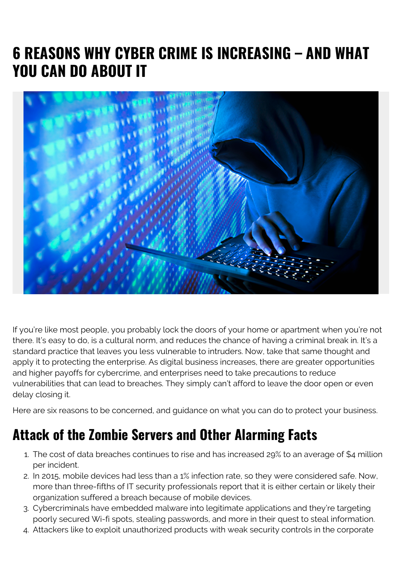## **6 REASONS WHY CYBER CRIME IS INCREASING – AND WHAT YOU CAN DO ABOUT IT**



If you're like most people, you probably lock the doors of your home or apartment when you're not there. It's easy to do, is a cultural norm, and reduces the chance of having a criminal break in. It's a standard practice that leaves you less vulnerable to intruders. Now, take that same thought and apply it to protecting the enterprise. As digital business increases, there are greater opportunities and higher payoffs for cybercrime, and enterprises need to take precautions to reduce vulnerabilities that can lead to breaches. They simply can't afford to leave the door open or even delay closing it.

Here are six reasons to be concerned, and guidance on what you can do to protect your business.

## **Attack of the Zombie Servers and Other Alarming Facts**

- 1. The cost of data breaches continues to rise and has increased 29% to an average of \$4 million per incident.
- 2. In 2015, mobile devices had less than a 1% infection rate, so they were considered safe. Now, more than three-fifths of IT security professionals report that it is either certain or likely their organization suffered a breach because of mobile devices.
- 3. Cybercriminals have embedded malware into legitimate applications and they're targeting poorly secured Wi-fi spots, stealing passwords, and more in their quest to steal information.
- 4. Attackers like to exploit unauthorized products with weak security controls in the corporate